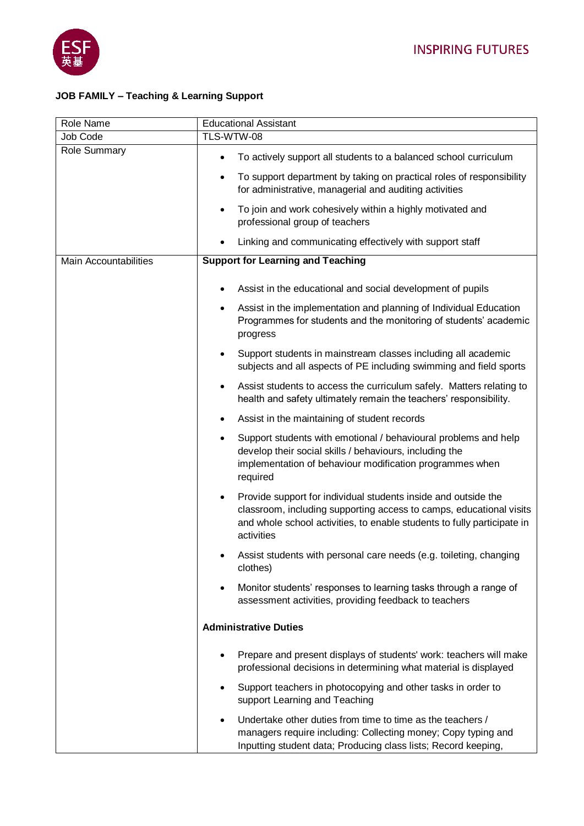

## **JOB FAMILY – Teaching & Learning Support**

| Role Name                    | <b>Educational Assistant</b>                                                                                                                                                                                                                |
|------------------------------|---------------------------------------------------------------------------------------------------------------------------------------------------------------------------------------------------------------------------------------------|
| Job Code                     | TLS-WTW-08                                                                                                                                                                                                                                  |
| <b>Role Summary</b>          | To actively support all students to a balanced school curriculum                                                                                                                                                                            |
|                              | To support department by taking on practical roles of responsibility<br>٠<br>for administrative, managerial and auditing activities                                                                                                         |
|                              | To join and work cohesively within a highly motivated and<br>$\bullet$<br>professional group of teachers                                                                                                                                    |
|                              | Linking and communicating effectively with support staff                                                                                                                                                                                    |
| <b>Main Accountabilities</b> | <b>Support for Learning and Teaching</b>                                                                                                                                                                                                    |
|                              | Assist in the educational and social development of pupils                                                                                                                                                                                  |
|                              | Assist in the implementation and planning of Individual Education<br>$\bullet$<br>Programmes for students and the monitoring of students' academic<br>progress                                                                              |
|                              | Support students in mainstream classes including all academic<br>$\bullet$<br>subjects and all aspects of PE including swimming and field sports                                                                                            |
|                              | Assist students to access the curriculum safely. Matters relating to<br>$\bullet$<br>health and safety ultimately remain the teachers' responsibility.                                                                                      |
|                              | Assist in the maintaining of student records<br>$\bullet$                                                                                                                                                                                   |
|                              | Support students with emotional / behavioural problems and help<br>$\bullet$<br>develop their social skills / behaviours, including the<br>implementation of behaviour modification programmes when<br>required                             |
|                              | Provide support for individual students inside and outside the<br>$\bullet$<br>classroom, including supporting access to camps, educational visits<br>and whole school activities, to enable students to fully participate in<br>activities |
|                              | Assist students with personal care needs (e.g. toileting, changing<br>clothes)                                                                                                                                                              |
|                              | Monitor students' responses to learning tasks through a range of<br>٠<br>assessment activities, providing feedback to teachers                                                                                                              |
|                              | <b>Administrative Duties</b>                                                                                                                                                                                                                |
|                              | Prepare and present displays of students' work: teachers will make<br>professional decisions in determining what material is displayed                                                                                                      |
|                              | Support teachers in photocopying and other tasks in order to<br>٠<br>support Learning and Teaching                                                                                                                                          |
|                              | Undertake other duties from time to time as the teachers /<br>٠<br>managers require including: Collecting money; Copy typing and<br>Inputting student data; Producing class lists; Record keeping,                                          |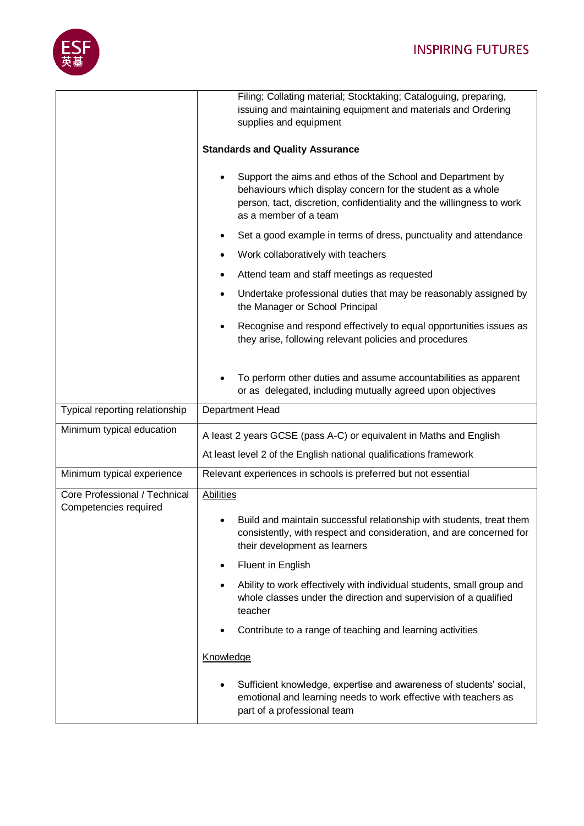

|                                | Filing; Collating material; Stocktaking; Cataloguing, preparing,<br>issuing and maintaining equipment and materials and Ordering<br>supplies and equipment                                                                  |
|--------------------------------|-----------------------------------------------------------------------------------------------------------------------------------------------------------------------------------------------------------------------------|
|                                | <b>Standards and Quality Assurance</b>                                                                                                                                                                                      |
|                                | Support the aims and ethos of the School and Department by<br>behaviours which display concern for the student as a whole<br>person, tact, discretion, confidentiality and the willingness to work<br>as a member of a team |
|                                | Set a good example in terms of dress, punctuality and attendance                                                                                                                                                            |
|                                | Work collaboratively with teachers<br>٠                                                                                                                                                                                     |
|                                | Attend team and staff meetings as requested<br>٠                                                                                                                                                                            |
|                                | Undertake professional duties that may be reasonably assigned by<br>the Manager or School Principal                                                                                                                         |
|                                | Recognise and respond effectively to equal opportunities issues as<br>they arise, following relevant policies and procedures                                                                                                |
|                                | To perform other duties and assume accountabilities as apparent<br>or as delegated, including mutually agreed upon objectives                                                                                               |
| Typical reporting relationship | Department Head                                                                                                                                                                                                             |
| Minimum typical education      | A least 2 years GCSE (pass A-C) or equivalent in Maths and English                                                                                                                                                          |
|                                | At least level 2 of the English national qualifications framework                                                                                                                                                           |
| Minimum typical experience     | Relevant experiences in schools is preferred but not essential                                                                                                                                                              |
| Core Professional / Technical  | <b>Abilities</b>                                                                                                                                                                                                            |
| Competencies required          | Build and maintain successful relationship with students, treat them<br>consistently, with respect and consideration, and are concerned for<br>their development as learners                                                |
|                                | Fluent in English<br>٠                                                                                                                                                                                                      |
|                                | Ability to work effectively with individual students, small group and                                                                                                                                                       |
|                                | whole classes under the direction and supervision of a qualified<br>teacher                                                                                                                                                 |
|                                | Contribute to a range of teaching and learning activities                                                                                                                                                                   |
|                                | Knowledge                                                                                                                                                                                                                   |